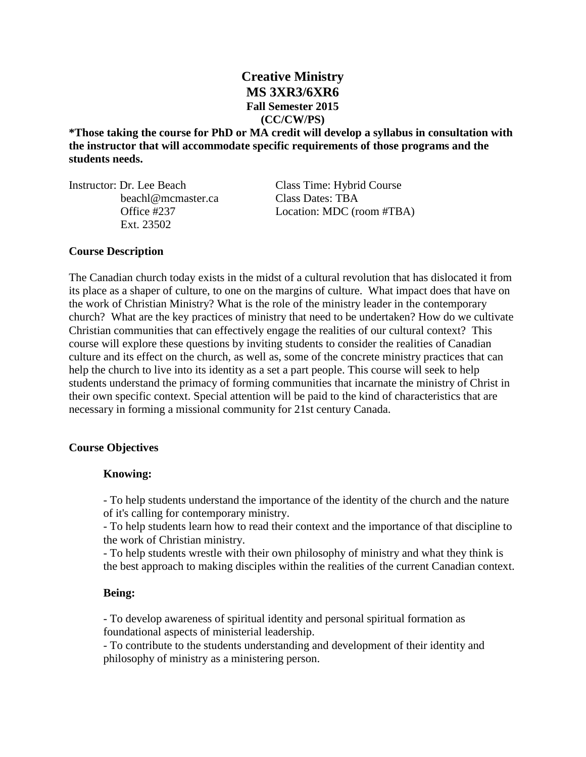# **Creative Ministry MS 3XR3/6XR6 Fall Semester 2015 (CC/CW/PS)**

**\*Those taking the course for PhD or MA credit will develop a syllabus in consultation with the instructor that will accommodate specific requirements of those programs and the students needs.**

Instructor: Dr. Lee Beach Class Time: Hybrid Course beachl@mcmaster.ca Class Dates: TBA Ext. 23502

Office #237 Location: MDC (room #TBA)

# **Course Description**

The Canadian church today exists in the midst of a cultural revolution that has dislocated it from its place as a shaper of culture, to one on the margins of culture. What impact does that have on the work of Christian Ministry? What is the role of the ministry leader in the contemporary church? What are the key practices of ministry that need to be undertaken? How do we cultivate Christian communities that can effectively engage the realities of our cultural context? This course will explore these questions by inviting students to consider the realities of Canadian culture and its effect on the church, as well as, some of the concrete ministry practices that can help the church to live into its identity as a set a part people. This course will seek to help students understand the primacy of forming communities that incarnate the ministry of Christ in their own specific context. Special attention will be paid to the kind of characteristics that are necessary in forming a missional community for 21st century Canada.

## **Course Objectives**

## **Knowing:**

- To help students understand the importance of the identity of the church and the nature of it's calling for contemporary ministry.

- To help students learn how to read their context and the importance of that discipline to the work of Christian ministry.

- To help students wrestle with their own philosophy of ministry and what they think is the best approach to making disciples within the realities of the current Canadian context.

## **Being:**

- To develop awareness of spiritual identity and personal spiritual formation as foundational aspects of ministerial leadership.

- To contribute to the students understanding and development of their identity and philosophy of ministry as a ministering person.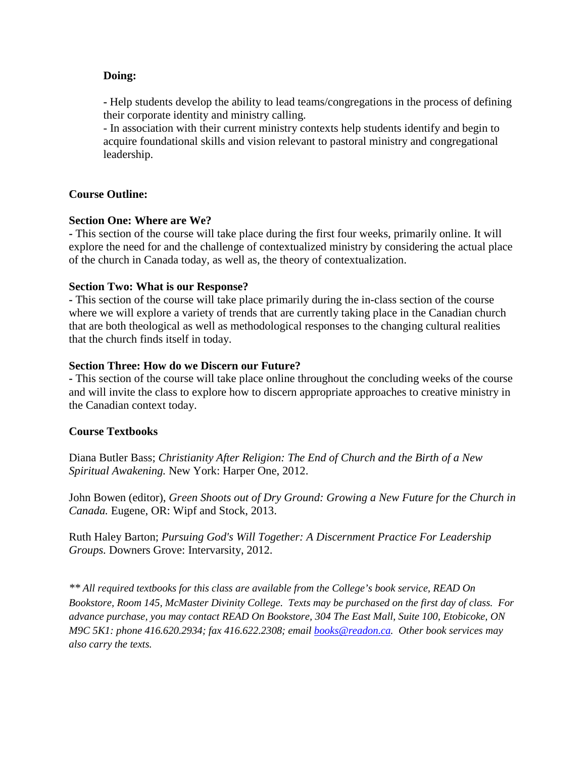## **Doing:**

**-** Help students develop the ability to lead teams/congregations in the process of defining their corporate identity and ministry calling.

- In association with their current ministry contexts help students identify and begin to acquire foundational skills and vision relevant to pastoral ministry and congregational leadership.

# **Course Outline:**

## **Section One: Where are We?**

**-** This section of the course will take place during the first four weeks, primarily online. It will explore the need for and the challenge of contextualized ministry by considering the actual place of the church in Canada today, as well as, the theory of contextualization.

## **Section Two: What is our Response?**

**-** This section of the course will take place primarily during the in-class section of the course where we will explore a variety of trends that are currently taking place in the Canadian church that are both theological as well as methodological responses to the changing cultural realities that the church finds itself in today.

## **Section Three: How do we Discern our Future?**

**-** This section of the course will take place online throughout the concluding weeks of the course and will invite the class to explore how to discern appropriate approaches to creative ministry in the Canadian context today.

## **Course Textbooks**

Diana Butler Bass; *Christianity After Religion: The End of Church and the Birth of a New Spiritual Awakening.* New York: Harper One, 2012.

John Bowen (editor), *Green Shoots out of Dry Ground: Growing a New Future for the Church in Canada.* Eugene, OR: Wipf and Stock, 2013.

Ruth Haley Barton; *Pursuing God's Will Together: A Discernment Practice For Leadership Groups.* Downers Grove: Intervarsity, 2012.

*\*\* All required textbooks for this class are available from the College's book service, READ On Bookstore, Room 145, McMaster Divinity College. Texts may be purchased on the first day of class. For advance purchase, you may contact READ On Bookstore, 304 The East Mall, Suite 100, Etobicoke, ON M9C 5K1: phone 416.620.2934; fax 416.622.2308; email [books@readon.ca.](mailto:books@readon.ca) Other book services may also carry the texts.*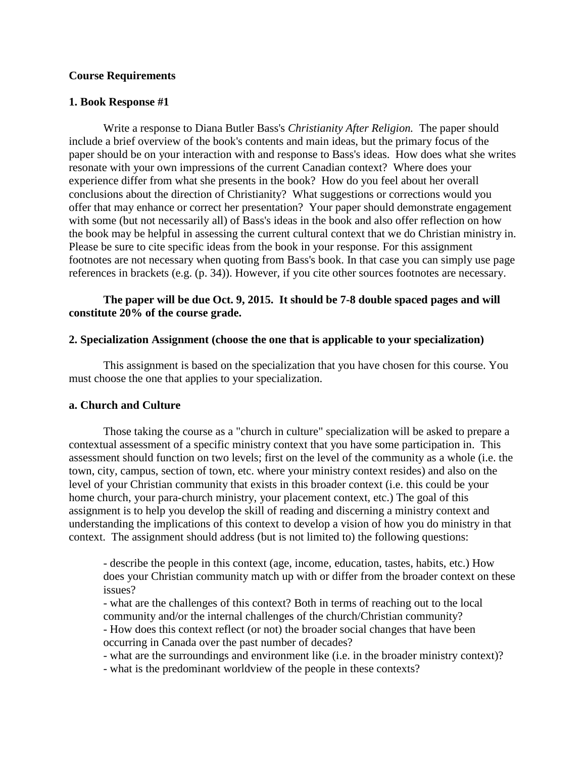## **Course Requirements**

## **1. Book Response #1**

Write a response to Diana Butler Bass's *Christianity After Religion.* The paper should include a brief overview of the book's contents and main ideas, but the primary focus of the paper should be on your interaction with and response to Bass's ideas. How does what she writes resonate with your own impressions of the current Canadian context? Where does your experience differ from what she presents in the book? How do you feel about her overall conclusions about the direction of Christianity? What suggestions or corrections would you offer that may enhance or correct her presentation? Your paper should demonstrate engagement with some (but not necessarily all) of Bass's ideas in the book and also offer reflection on how the book may be helpful in assessing the current cultural context that we do Christian ministry in. Please be sure to cite specific ideas from the book in your response. For this assignment footnotes are not necessary when quoting from Bass's book. In that case you can simply use page references in brackets (e.g. (p. 34)). However, if you cite other sources footnotes are necessary.

## **The paper will be due Oct. 9, 2015. It should be 7-8 double spaced pages and will constitute 20% of the course grade.**

## **2. Specialization Assignment (choose the one that is applicable to your specialization)**

This assignment is based on the specialization that you have chosen for this course. You must choose the one that applies to your specialization.

## **a. Church and Culture**

Those taking the course as a "church in culture" specialization will be asked to prepare a contextual assessment of a specific ministry context that you have some participation in. This assessment should function on two levels; first on the level of the community as a whole (i.e. the town, city, campus, section of town, etc. where your ministry context resides) and also on the level of your Christian community that exists in this broader context (i.e. this could be your home church, your para-church ministry, your placement context, etc.) The goal of this assignment is to help you develop the skill of reading and discerning a ministry context and understanding the implications of this context to develop a vision of how you do ministry in that context. The assignment should address (but is not limited to) the following questions:

- describe the people in this context (age, income, education, tastes, habits, etc.) How does your Christian community match up with or differ from the broader context on these issues?

- what are the challenges of this context? Both in terms of reaching out to the local community and/or the internal challenges of the church/Christian community?

- How does this context reflect (or not) the broader social changes that have been occurring in Canada over the past number of decades?

- what are the surroundings and environment like (i.e. in the broader ministry context)?

- what is the predominant worldview of the people in these contexts?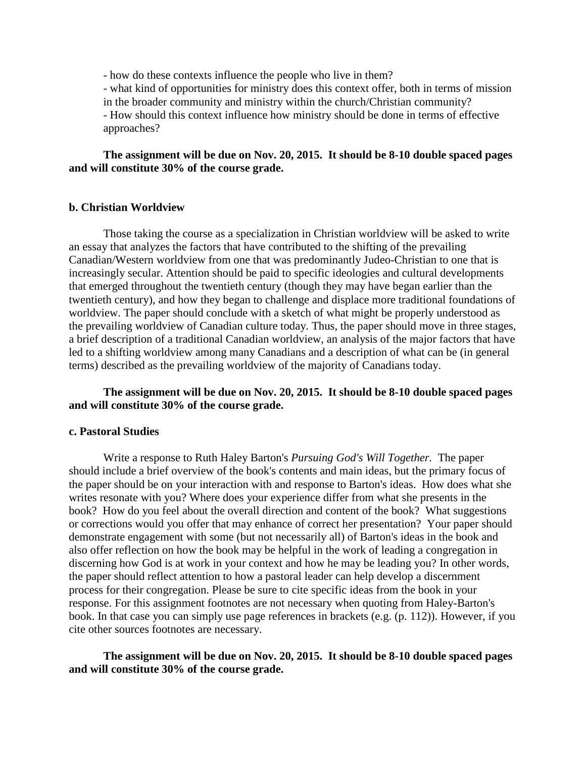- how do these contexts influence the people who live in them?

- what kind of opportunities for ministry does this context offer, both in terms of mission in the broader community and ministry within the church/Christian community?

- How should this context influence how ministry should be done in terms of effective approaches?

## **The assignment will be due on Nov. 20, 2015. It should be 8-10 double spaced pages and will constitute 30% of the course grade.**

#### **b. Christian Worldview**

Those taking the course as a specialization in Christian worldview will be asked to write an essay that analyzes the factors that have contributed to the shifting of the prevailing Canadian/Western worldview from one that was predominantly Judeo-Christian to one that is increasingly secular. Attention should be paid to specific ideologies and cultural developments that emerged throughout the twentieth century (though they may have began earlier than the twentieth century), and how they began to challenge and displace more traditional foundations of worldview. The paper should conclude with a sketch of what might be properly understood as the prevailing worldview of Canadian culture today. Thus, the paper should move in three stages, a brief description of a traditional Canadian worldview, an analysis of the major factors that have led to a shifting worldview among many Canadians and a description of what can be (in general terms) described as the prevailing worldview of the majority of Canadians today.

## **The assignment will be due on Nov. 20, 2015. It should be 8-10 double spaced pages and will constitute 30% of the course grade.**

#### **c. Pastoral Studies**

Write a response to Ruth Haley Barton's *Pursuing God's Will Together.* The paper should include a brief overview of the book's contents and main ideas, but the primary focus of the paper should be on your interaction with and response to Barton's ideas. How does what she writes resonate with you? Where does your experience differ from what she presents in the book? How do you feel about the overall direction and content of the book? What suggestions or corrections would you offer that may enhance of correct her presentation? Your paper should demonstrate engagement with some (but not necessarily all) of Barton's ideas in the book and also offer reflection on how the book may be helpful in the work of leading a congregation in discerning how God is at work in your context and how he may be leading you? In other words, the paper should reflect attention to how a pastoral leader can help develop a discernment process for their congregation. Please be sure to cite specific ideas from the book in your response. For this assignment footnotes are not necessary when quoting from Haley-Barton's book. In that case you can simply use page references in brackets (e.g. (p. 112)). However, if you cite other sources footnotes are necessary.

**The assignment will be due on Nov. 20, 2015. It should be 8-10 double spaced pages and will constitute 30% of the course grade.**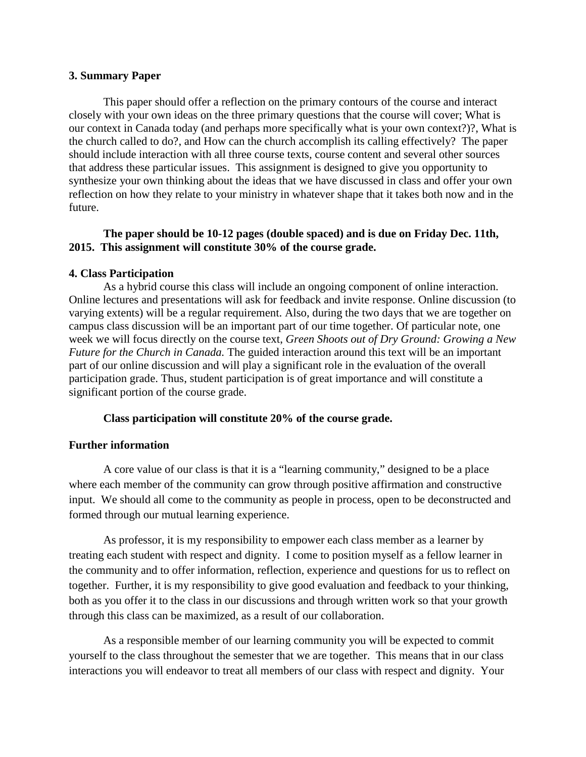### **3. Summary Paper**

This paper should offer a reflection on the primary contours of the course and interact closely with your own ideas on the three primary questions that the course will cover; What is our context in Canada today (and perhaps more specifically what is your own context?)?, What is the church called to do?, and How can the church accomplish its calling effectively? The paper should include interaction with all three course texts, course content and several other sources that address these particular issues. This assignment is designed to give you opportunity to synthesize your own thinking about the ideas that we have discussed in class and offer your own reflection on how they relate to your ministry in whatever shape that it takes both now and in the future.

# **The paper should be 10-12 pages (double spaced) and is due on Friday Dec. 11th, 2015. This assignment will constitute 30% of the course grade.**

## **4. Class Participation**

As a hybrid course this class will include an ongoing component of online interaction. Online lectures and presentations will ask for feedback and invite response. Online discussion (to varying extents) will be a regular requirement. Also, during the two days that we are together on campus class discussion will be an important part of our time together. Of particular note, one week we will focus directly on the course text, *Green Shoots out of Dry Ground: Growing a New Future for the Church in Canada.* The guided interaction around this text will be an important part of our online discussion and will play a significant role in the evaluation of the overall participation grade. Thus, student participation is of great importance and will constitute a significant portion of the course grade.

## **Class participation will constitute 20% of the course grade.**

## **Further information**

A core value of our class is that it is a "learning community," designed to be a place where each member of the community can grow through positive affirmation and constructive input. We should all come to the community as people in process, open to be deconstructed and formed through our mutual learning experience.

As professor, it is my responsibility to empower each class member as a learner by treating each student with respect and dignity. I come to position myself as a fellow learner in the community and to offer information, reflection, experience and questions for us to reflect on together. Further, it is my responsibility to give good evaluation and feedback to your thinking, both as you offer it to the class in our discussions and through written work so that your growth through this class can be maximized, as a result of our collaboration.

As a responsible member of our learning community you will be expected to commit yourself to the class throughout the semester that we are together. This means that in our class interactions you will endeavor to treat all members of our class with respect and dignity. Your